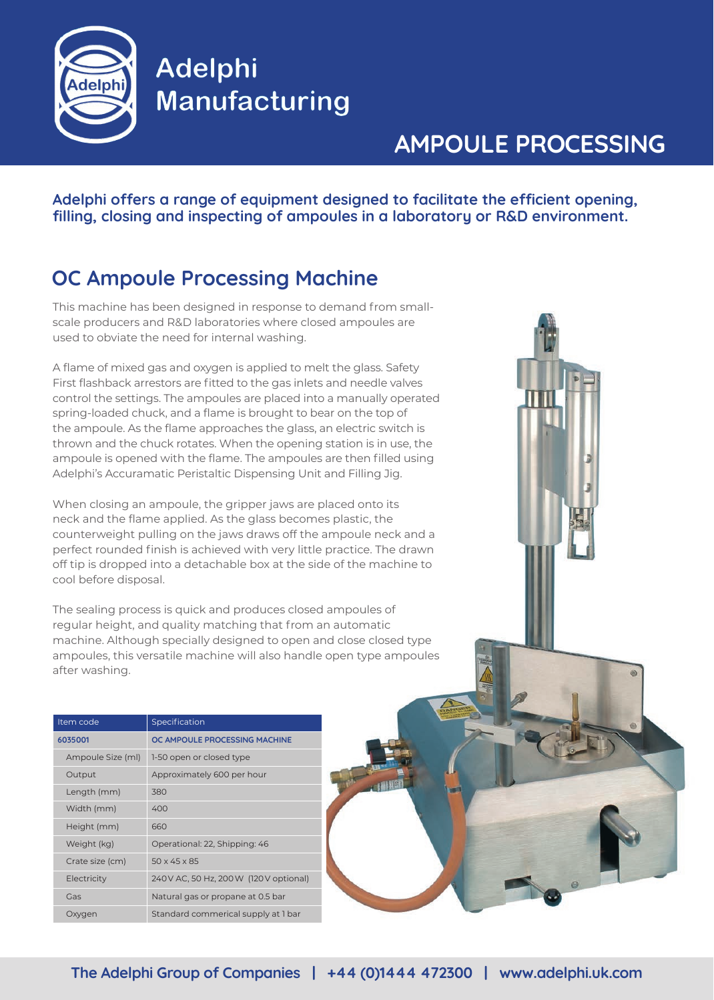

**Adelphi Manufacturing** 

# **AMPOULE PROCESSING**

**Adelphi offers a range of equipment designed to facilitate the efficient opening, filling, closing and inspecting of ampoules in a laboratory or R&D environment.**

## **OC Ampoule Processing Machine**

This machine has been designed in response to demand from smallscale producers and R&D laboratories where closed ampoules are used to obviate the need for internal washing.

A flame of mixed gas and oxygen is applied to melt the glass. Safety First flashback arrestors are fitted to the gas inlets and needle valves control the settings. The ampoules are placed into a manually operated spring-loaded chuck, and a flame is brought to bear on the top of the ampoule. As the flame approaches the glass, an electric switch is thrown and the chuck rotates. When the opening station is in use, the ampoule is opened with the flame. The ampoules are then filled using Adelphi's Accuramatic Peristaltic Dispensing Unit and Filling Jig.

When closing an ampoule, the gripper jaws are placed onto its neck and the flame applied. As the glass becomes plastic, the counterweight pulling on the jaws draws off the ampoule neck and a perfect rounded finish is achieved with very little practice. The drawn off tip is dropped into a detachable box at the side of the machine to cool before disposal.

The sealing process is quick and produces closed ampoules of regular height, and quality matching that from an automatic machine. Although specially designed to open and close closed type ampoules, this versatile machine will also handle open type ampoules after washing.

| Item code         | Specification                           |
|-------------------|-----------------------------------------|
| 6035001           | OC AMPOULE PROCESSING MACHINE           |
| Ampoule Size (ml) | 1-50 open or closed type                |
| Output            | Approximately 600 per hour              |
| Length (mm)       | 380                                     |
| Width (mm)        | 400                                     |
| Height (mm)       | 660                                     |
| Weight (kg)       | Operational: 22, Shipping: 46           |
| Crate size (cm)   | $50 \times 45 \times 85$                |
| Electricity       | 240 V AC, 50 Hz, 200 W (120 V optional) |
| Gas               | Natural gas or propane at 0.5 bar       |
| Oxygen            | Standard commerical supply at 1 bar     |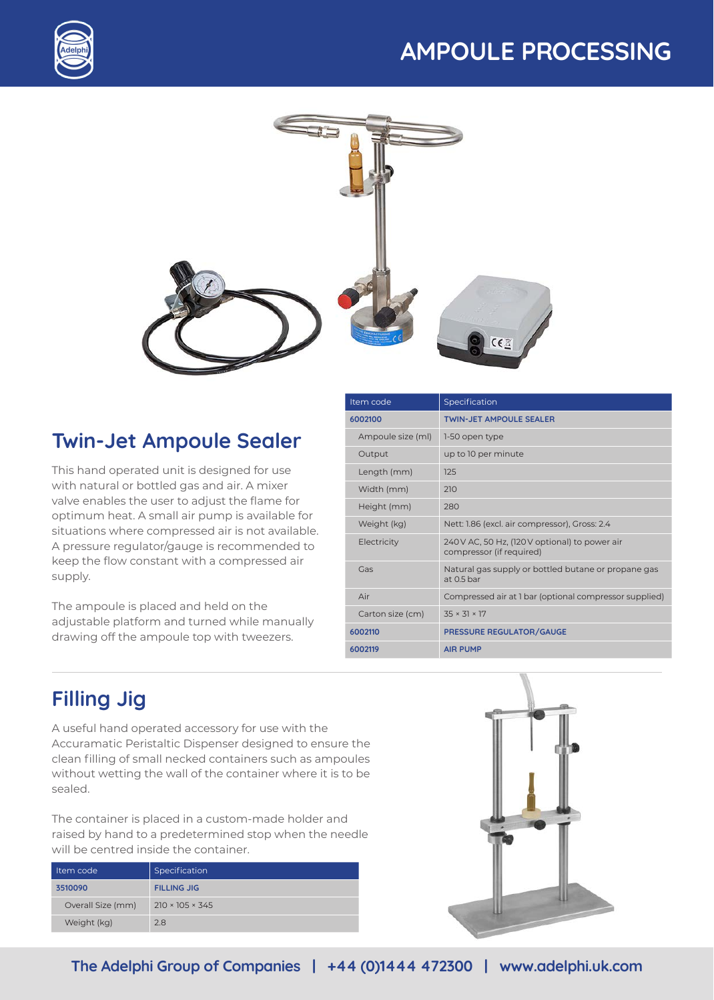# **AMPOULE PROCESSING**





## **Twin-Jet Ampoule Sealer**

This hand operated unit is designed for use with natural or bottled gas and air. A mixer valve enables the user to adjust the flame for optimum heat. A small air pump is available for situations where compressed air is not available. A pressure regulator/gauge is recommended to keep the flow constant with a compressed air supply.

The ampoule is placed and held on the adjustable platform and turned while manually drawing off the ampoule top with tweezers.

| Item code         | Specification                                                              |
|-------------------|----------------------------------------------------------------------------|
| 6002100           | <b>TWIN-JET AMPOULE SEALER</b>                                             |
| Ampoule size (ml) | 1-50 open type                                                             |
| Output            | up to 10 per minute                                                        |
| Length (mm)       | 125                                                                        |
| Width (mm)        | 210                                                                        |
| Height (mm)       | 280                                                                        |
| Weight (kg)       | Nett: 1.86 (excl. air compressor), Gross: 2.4                              |
| Electricity       | 240 V AC, 50 Hz, (120 V optional) to power air<br>compressor (if required) |
| Gas               | Natural gas supply or bottled butane or propane gas<br>at $0.5$ bar        |
| Air               | Compressed air at 1 bar (optional compressor supplied)                     |
| Carton size (cm)  | $35 \times 31 \times 17$                                                   |
| 6002110           | PRESSURE REGULATOR/GAUGE                                                   |
| 6002119           | <b>AIR PUMP</b>                                                            |

## **Filling Jig**

A useful hand operated accessory for use with the Accuramatic Peristaltic Dispenser designed to ensure the clean filling of small necked containers such as ampoules without wetting the wall of the container where it is to be sealed.

The container is placed in a custom-made holder and raised by hand to a predetermined stop when the needle will be centred inside the container.

| Item code         | Specification               |
|-------------------|-----------------------------|
| 3510090           | <b>FILLING JIG</b>          |
| Overall Size (mm) | $210 \times 105 \times 345$ |
| Weight (kg)       | 2.8                         |

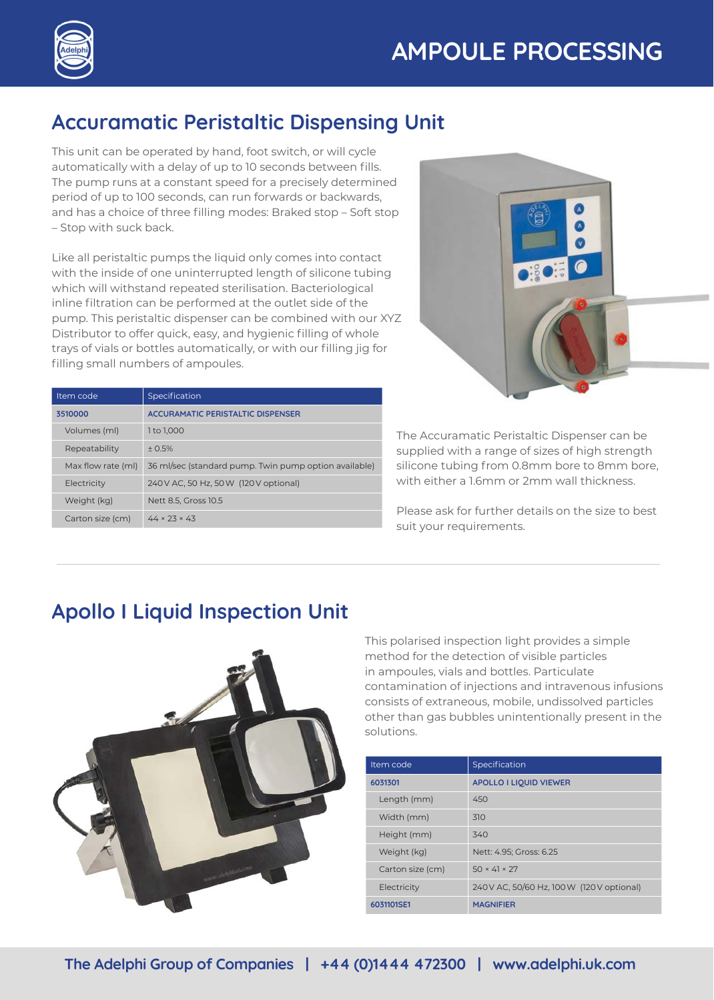



## **Accuramatic Peristaltic Dispensing Unit**

This unit can be operated by hand, foot switch, or will cycle automatically with a delay of up to 10 seconds between fills. The pump runs at a constant speed for a precisely determined period of up to 100 seconds, can run forwards or backwards, and has a choice of three filling modes: Braked stop – Soft stop – Stop with suck back.

Like all peristaltic pumps the liquid only comes into contact with the inside of one uninterrupted length of silicone tubing which will withstand repeated sterilisation. Bacteriological inline filtration can be performed at the outlet side of the pump. This peristaltic dispenser can be combined with our XYZ Distributor to offer quick, easy, and hygienic filling of whole trays of vials or bottles automatically, or with our filling jig for filling small numbers of ampoules.

| Item code          | Specification                                         |
|--------------------|-------------------------------------------------------|
| 3510000            | <b>ACCURAMATIC PERISTALTIC DISPENSER</b>              |
| Volumes (ml)       | 1 to 1.000                                            |
| Repeatability      | $+0.5%$                                               |
| Max flow rate (ml) | 36 ml/sec (standard pump. Twin pump option available) |
| Electricity        | 240 V AC, 50 Hz, 50 W (120 V optional)                |
| Weight (kg)        | Nett 8.5, Gross 10.5                                  |
| Carton size (cm)   | $44 \times 23 \times 43$                              |



The Accuramatic Peristaltic Dispenser can be supplied with a range of sizes of high strength silicone tubing from 0.8mm bore to 8mm bore, with either a 1.6mm or 2mm wall thickness.

Please ask for further details on the size to best suit your requirements.

#### **Apollo I Liquid Inspection Unit**



This polarised inspection light provides a simple method for the detection of visible particles in ampoules, vials and bottles. Particulate contamination of injections and intravenous infusions consists of extraneous, mobile, undissolved particles other than gas bubbles unintentionally present in the solutions.

| Item code        | Specification                              |
|------------------|--------------------------------------------|
| 6031301          | <b>APOLLO I LIQUID VIEWER</b>              |
| Length (mm)      | 450                                        |
| Width (mm)       | 310                                        |
| Height (mm)      | 340                                        |
| Weight (kg)      | Nett: 4.95; Gross: 6.25                    |
| Carton size (cm) | $50 \times 41 \times 27$                   |
| Electricity      | 240 V AC, 50/60 Hz, 100 W (120 V optional) |
| 6031101SE1       | <b>MAGNIFIER</b>                           |